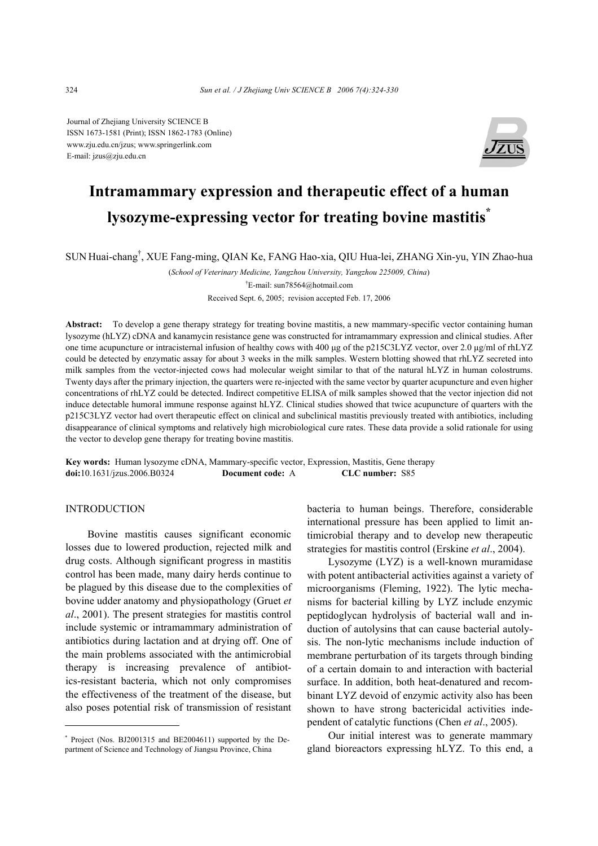Journal of Zhejiang University SCIENCE B ISSN 1673-1581 (Print); ISSN 1862-1783 (Online) www.zju.edu.cn/jzus; www.springerlink.com E-mail: jzus@zju.edu.cn



# **Intramammary expression and therapeutic effect of a human lysozyme-expressing vector for treating bovine mastitis\***

SUN Huai-chang† , XUE Fang-ming, QIAN Ke, FANG Hao-xia, QIU Hua-lei, ZHANG Xin-yu, YIN Zhao-hua

(*School of Veterinary Medicine, Yangzhou University, Yangzhou 225009, China*)

† E-mail: sun78564@hotmail.com

Received Sept. 6, 2005; revision accepted Feb. 17, 2006

**Abstract:** To develop a gene therapy strategy for treating bovine mastitis, a new mammary-specific vector containing human lysozyme (hLYZ) cDNA and kanamycin resistance gene was constructed for intramammary expression and clinical studies. After one time acupuncture or intracisternal infusion of healthy cows with 400 µg of the p215C3LYZ vector, over 2.0 µg/ml of rhLYZ could be detected by enzymatic assay for about 3 weeks in the milk samples. Western blotting showed that rhLYZ secreted into milk samples from the vector-injected cows had molecular weight similar to that of the natural hLYZ in human colostrums. Twenty days after the primary injection, the quarters were re-injected with the same vector by quarter acupuncture and even higher concentrations of rhLYZ could be detected. Indirect competitive ELISA of milk samples showed that the vector injection did not induce detectable humoral immune response against hLYZ. Clinical studies showed that twice acupuncture of quarters with the p215C3LYZ vector had overt therapeutic effect on clinical and subclinical mastitis previously treated with antibiotics, including disappearance of clinical symptoms and relatively high microbiological cure rates. These data provide a solid rationale for using the vector to develop gene therapy for treating bovine mastitis.

**Key words:** Human lysozyme cDNA, Mammary-specific vector, Expression, Mastitis, Gene therapy **doi:**10.1631/jzus.2006.B0324 **Document code:** A **CLC number:** S85

## INTRODUCTION

Bovine mastitis causes significant economic losses due to lowered production, rejected milk and drug costs. Although significant progress in mastitis control has been made, many dairy herds continue to be plagued by this disease due to the complexities of bovine udder anatomy and physiopathology (Gruet *et al*., 2001). The present strategies for mastitis control include systemic or intramammary administration of antibiotics during lactation and at drying off. One of the main problems associated with the antimicrobial therapy is increasing prevalence of antibiotics-resistant bacteria, which not only compromises the effectiveness of the treatment of the disease, but also poses potential risk of transmission of resistant bacteria to human beings. Therefore, considerable international pressure has been applied to limit antimicrobial therapy and to develop new therapeutic strategies for mastitis control (Erskine *et al*., 2004).

Lysozyme (LYZ) is a well-known muramidase with potent antibacterial activities against a variety of microorganisms (Fleming, 1922). The lytic mechanisms for bacterial killing by LYZ include enzymic peptidoglycan hydrolysis of bacterial wall and induction of autolysins that can cause bacterial autolysis. The non-lytic mechanisms include induction of membrane perturbation of its targets through binding of a certain domain to and interaction with bacterial surface. In addition, both heat-denatured and recombinant LYZ devoid of enzymic activity also has been shown to have strong bactericidal activities independent of catalytic functions (Chen *et al*., 2005).

Our initial interest was to generate mammary gland bioreactors expressing hLYZ. To this end, a

<sup>\*</sup> Project (Nos. BJ2001315 and BE2004611) supported by the Department of Science and Technology of Jiangsu Province, China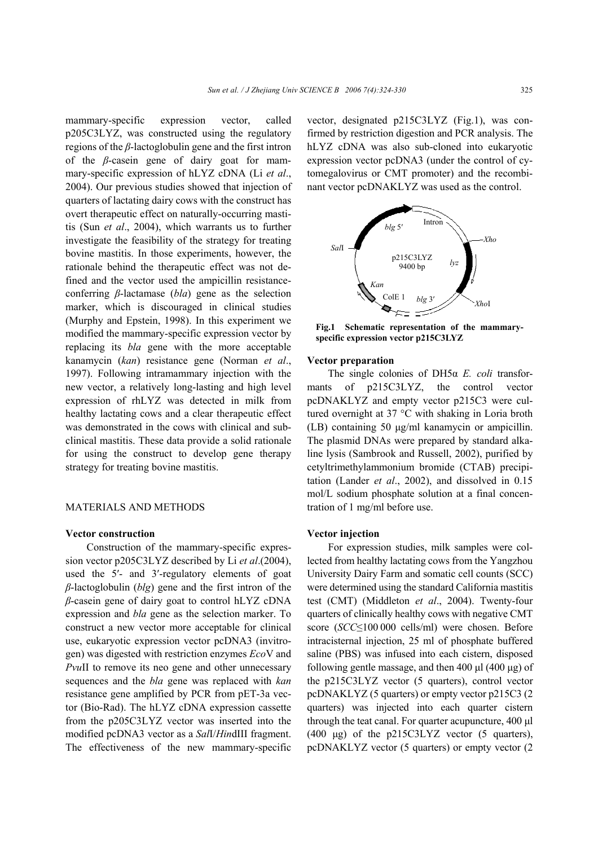mammary-specific expression vector, called p205C3LYZ, was constructed using the regulatory regions of the *β*-lactoglobulin gene and the first intron of the *β*-casein gene of dairy goat for mammary-specific expression of hLYZ cDNA (Li *et al*., 2004). Our previous studies showed that injection of quarters of lactating dairy cows with the construct has overt therapeutic effect on naturally-occurring mastitis (Sun *et al*., 2004), which warrants us to further investigate the feasibility of the strategy for treating bovine mastitis. In those experiments, however, the rationale behind the therapeutic effect was not defined and the vector used the ampicillin resistanceconferring *β*-lactamase (*bla*) gene as the selection marker, which is discouraged in clinical studies (Murphy and Epstein, 1998). In this experiment we modified the mammary-specific expression vector by replacing its *bla* gene with the more acceptable kanamycin (*kan*) resistance gene (Norman *et al*., 1997). Following intramammary injection with the new vector, a relatively long-lasting and high level expression of rhLYZ was detected in milk from healthy lactating cows and a clear therapeutic effect was demonstrated in the cows with clinical and subclinical mastitis. These data provide a solid rationale for using the construct to develop gene therapy strategy for treating bovine mastitis.

#### MATERIALS AND METHODS

## **Vector construction**

Construction of the mammary-specific expression vector p205C3LYZ described by Li *et al*.(2004), used the 5′- and 3′-regulatory elements of goat *β*-lactoglobulin (*blg*) gene and the first intron of the *β*-casein gene of dairy goat to control hLYZ cDNA expression and *bla* gene as the selection marker. To construct a new vector more acceptable for clinical use, eukaryotic expression vector pcDNA3 (invitrogen) was digested with restriction enzymes *Eco*V and *PvuII* to remove its neo gene and other unnecessary sequences and the *bla* gene was replaced with *kan* resistance gene amplified by PCR from pET-3a vector (Bio-Rad). The hLYZ cDNA expression cassette from the p205C3LYZ vector was inserted into the modified pcDNA3 vector as a *Sal*I/*Hin*dIII fragment. The effectiveness of the new mammary-specific vector, designated p215C3LYZ (Fig.1), was confirmed by restriction digestion and PCR analysis. The hLYZ cDNA was also sub-cloned into eukaryotic expression vector pcDNA3 (under the control of cytomegalovirus or CMT promoter) and the recombinant vector pcDNAKLYZ was used as the control.



**Fig.1 Schematic representation of the mammaryspecific expression vector p215C3LYZ** 

#### **Vector preparation**

The single colonies of DH5α *E. coli* transformants of p215C3LYZ, the control vector pcDNAKLYZ and empty vector p215C3 were cultured overnight at 37 °C with shaking in Loria broth (LB) containing 50 µg/ml kanamycin or ampicillin. The plasmid DNAs were prepared by standard alkaline lysis (Sambrook and Russell, 2002), purified by cetyltrimethylammonium bromide (CTAB) precipitation (Lander *et al*., 2002), and dissolved in 0.15 mol/L sodium phosphate solution at a final concentration of 1 mg/ml before use.

# **Vector injection**

For expression studies, milk samples were collected from healthy lactating cows from the Yangzhou University Dairy Farm and somatic cell counts (SCC) were determined using the standard California mastitis test (CMT) (Middleton *et al*., 2004). Twenty-four quarters of clinically healthy cows with negative CMT score (*SCC*≤100 000 cells/ml) were chosen. Before intracisternal injection, 25 ml of phosphate buffered saline (PBS) was infused into each cistern, disposed following gentle massage, and then 400  $\mu$ l (400  $\mu$ g) of the p215C3LYZ vector (5 quarters), control vector pcDNAKLYZ (5 quarters) or empty vector p215C3 (2 quarters) was injected into each quarter cistern through the teat canal. For quarter acupuncture, 400 µl (400 µg) of the p215C3LYZ vector (5 quarters), pcDNAKLYZ vector (5 quarters) or empty vector (2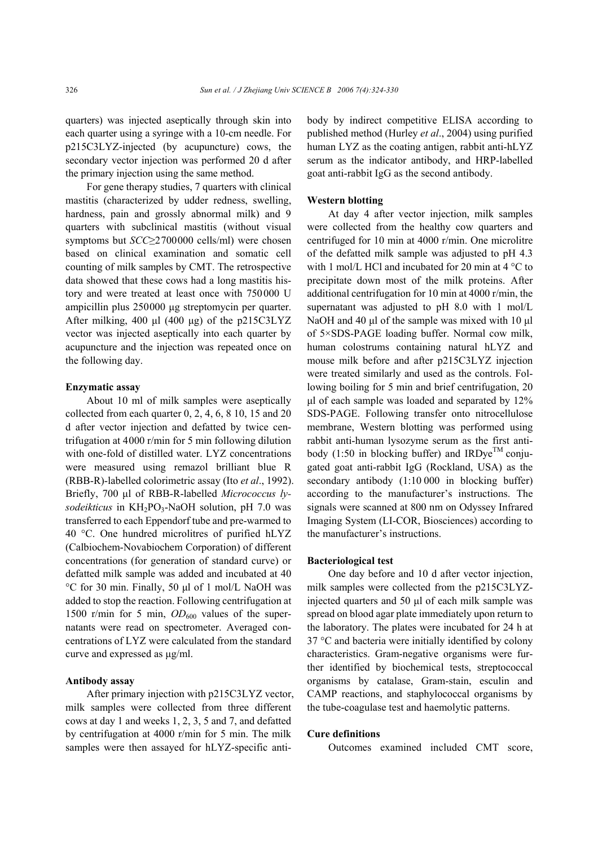quarters) was injected aseptically through skin into each quarter using a syringe with a 10-cm needle. For p215C3LYZ-injected (by acupuncture) cows, the secondary vector injection was performed 20 d after the primary injection using the same method.

For gene therapy studies, 7 quarters with clinical mastitis (characterized by udder redness, swelling, hardness, pain and grossly abnormal milk) and 9 quarters with subclinical mastitis (without visual symptoms but *SCC*≥2700000 cells/ml) were chosen based on clinical examination and somatic cell counting of milk samples by CMT. The retrospective data showed that these cows had a long mastitis history and were treated at least once with 750000 U ampicillin plus 250000 µg streptomycin per quarter. After milking, 400  $\mu$ l (400  $\mu$ g) of the p215C3LYZ vector was injected aseptically into each quarter by acupuncture and the injection was repeated once on the following day.

#### **Enzymatic assay**

About 10 ml of milk samples were aseptically collected from each quarter 0, 2, 4, 6, 8 10, 15 and 20 d after vector injection and defatted by twice centrifugation at 4000 r/min for 5 min following dilution with one-fold of distilled water. LYZ concentrations were measured using remazol brilliant blue R (RBB-R)-labelled colorimetric assay (Ito *et al*., 1992). Briefly, 700 µl of RBB-R-labelled *Micrococcus lysodeikticus* in KH2PO3-NaOH solution, pH 7.0 was transferred to each Eppendorf tube and pre-warmed to 40 °C. One hundred microlitres of purified hLYZ (Calbiochem-Novabiochem Corporation) of different concentrations (for generation of standard curve) or defatted milk sample was added and incubated at 40 °C for 30 min. Finally, 50 µl of 1 mol/L NaOH was added to stop the reaction. Following centrifugation at 1500 r/min for 5 min,  $OD_{600}$  values of the supernatants were read on spectrometer. Averaged concentrations of LYZ were calculated from the standard curve and expressed as µg/ml.

## **Antibody assay**

After primary injection with p215C3LYZ vector, milk samples were collected from three different cows at day 1 and weeks 1, 2, 3, 5 and 7, and defatted by centrifugation at 4000 r/min for 5 min. The milk samples were then assayed for hLYZ-specific antibody by indirect competitive ELISA according to published method (Hurley *et al*., 2004) using purified human LYZ as the coating antigen, rabbit anti-hLYZ serum as the indicator antibody, and HRP-labelled goat anti-rabbit IgG as the second antibody.

#### **Western blotting**

At day 4 after vector injection, milk samples were collected from the healthy cow quarters and centrifuged for 10 min at 4000 r/min. One microlitre of the defatted milk sample was adjusted to pH 4.3 with 1 mol/L HCl and incubated for 20 min at 4 °C to precipitate down most of the milk proteins. After additional centrifugation for 10 min at 4000 r/min, the supernatant was adjusted to pH 8.0 with 1 mol/L NaOH and 40 µl of the sample was mixed with 10 µl of 5×SDS-PAGE loading buffer. Normal cow milk, human colostrums containing natural hLYZ and mouse milk before and after p215C3LYZ injection were treated similarly and used as the controls. Following boiling for 5 min and brief centrifugation, 20  $\mu$ l of each sample was loaded and separated by 12% SDS-PAGE. Following transfer onto nitrocellulose membrane, Western blotting was performed using rabbit anti-human lysozyme serum as the first antibody (1:50 in blocking buffer) and IRDye<sup>TM</sup> conjugated goat anti-rabbit IgG (Rockland, USA) as the secondary antibody  $(1:10 000$  in blocking buffer) according to the manufacturer's instructions. The signals were scanned at 800 nm on Odyssey Infrared Imaging System (LI-COR, Biosciences) according to the manufacturer's instructions.

#### **Bacteriological test**

One day before and 10 d after vector injection, milk samples were collected from the p215C3LYZinjected quarters and 50 µl of each milk sample was spread on blood agar plate immediately upon return to the laboratory. The plates were incubated for 24 h at 37 °C and bacteria were initially identified by colony characteristics. Gram-negative organisms were further identified by biochemical tests, streptococcal organisms by catalase, Gram-stain, esculin and CAMP reactions, and staphylococcal organisms by the tube-coagulase test and haemolytic patterns.

#### **Cure definitions**

Outcomes examined included CMT score,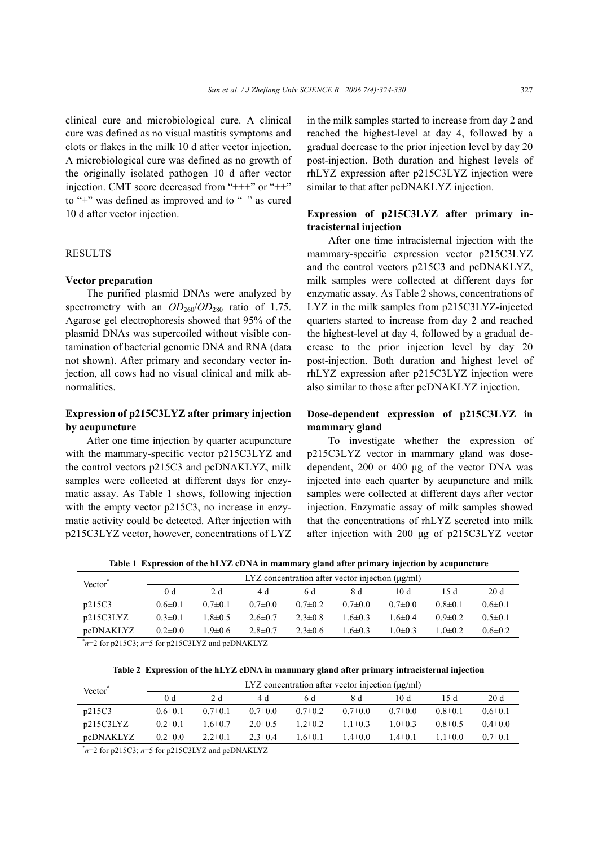clinical cure and microbiological cure. A clinical cure was defined as no visual mastitis symptoms and clots or flakes in the milk 10 d after vector injection. A microbiological cure was defined as no growth of the originally isolated pathogen 10 d after vector injection. CMT score decreased from "+++" or "++" to "+" was defined as improved and to "–" as cured 10 d after vector injection.

## **RESULTS**

## **Vector preparation**

The purified plasmid DNAs were analyzed by spectrometry with an  $OD_{260}/OD_{280}$  ratio of 1.75. Agarose gel electrophoresis showed that 95% of the plasmid DNAs was supercoiled without visible contamination of bacterial genomic DNA and RNA (data not shown). After primary and secondary vector injection, all cows had no visual clinical and milk abnormalities.

# **Expression of p215C3LYZ after primary injection by acupuncture**

After one time injection by quarter acupuncture with the mammary-specific vector p215C3LYZ and the control vectors p215C3 and pcDNAKLYZ, milk samples were collected at different days for enzymatic assay. As Table 1 shows, following injection with the empty vector p215C3, no increase in enzymatic activity could be detected. After injection with p215C3LYZ vector, however, concentrations of LYZ in the milk samples started to increase from day 2 and reached the highest-level at day 4, followed by a gradual decrease to the prior injection level by day 20 post-injection. Both duration and highest levels of rhLYZ expression after p215C3LYZ injection were similar to that after pcDNAKLYZ injection.

# **Expression of p215C3LYZ after primary intracisternal injection**

After one time intracisternal injection with the mammary-specific expression vector p215C3LYZ and the control vectors p215C3 and pcDNAKLYZ, milk samples were collected at different days for enzymatic assay. As Table 2 shows, concentrations of LYZ in the milk samples from p215C3LYZ-injected quarters started to increase from day 2 and reached the highest-level at day 4, followed by a gradual decrease to the prior injection level by day 20 post-injection. Both duration and highest level of rhLYZ expression after p215C3LYZ injection were also similar to those after pcDNAKLYZ injection.

# **Dose-dependent expression of p215C3LYZ in mammary gland**

To investigate whether the expression of p215C3LYZ vector in mammary gland was dosedependent, 200 or 400 µg of the vector DNA was injected into each quarter by acupuncture and milk samples were collected at different days after vector injection. Enzymatic assay of milk samples showed that the concentrations of rhLYZ secreted into milk after injection with 200 µg of p215C3LYZ vector

**Table 1 Expression of the hLYZ cDNA in mammary gland after primary injection by acupuncture** 

| Vector                                                            | LYZ concentration after vector injection $(\mu g/ml)$ |               |               |               |               |              |               |               |  |  |  |
|-------------------------------------------------------------------|-------------------------------------------------------|---------------|---------------|---------------|---------------|--------------|---------------|---------------|--|--|--|
|                                                                   | 0 <sub>d</sub>                                        | 2 d           | 4 d           | 6 d           | 8 d           | 10d          | 15 d          | 20 d          |  |  |  |
| p215C3                                                            | $0.6 \pm 0.1$                                         | $0.7\pm 0.1$  | $0.7 \pm 0.0$ | $0.7 \pm 0.2$ | $07\pm0.0$    | $0.7\pm 0.0$ | $0.8 \pm 0.1$ | $0.6 \pm 0.1$ |  |  |  |
| p215C3LYZ                                                         | $0.3 \pm 0.1$                                         | $1.8 \pm 0.5$ | $2.6 \pm 0.7$ | $2.3 \pm 0.8$ | $16\pm03$     | $16 \pm 04$  | $0.9 \pm 0.2$ | $0.5 \pm 0.1$ |  |  |  |
| pcDNAKLYZ                                                         | $0.2 \pm 0.0$                                         | $1.9 \pm 0.6$ | $2.8 \pm 0.7$ | $2.3 \pm 0.6$ | $1.6 \pm 0.3$ | $1.0\pm0.3$  | $1.0 \pm 0.2$ | $0.6 \pm 0.2$ |  |  |  |
| $v_{n-2}$ for n?15 $C_3$ , $v=5$ for n?15 $C_3$ JVZ and neDNAKIVZ |                                                       |               |               |               |               |              |               |               |  |  |  |

\* *n*=2 for p215C3; *n*=5 for p215C3LYZ and pcDNAKLYZ

**Table 2 Expression of the hLYZ cDNA in mammary gland after primary intracisternal injection** 

| Vector <sup>®</sup> | LYZ concentration after vector injection $(\mu g/ml)$ |               |               |               |               |               |               |               |  |  |
|---------------------|-------------------------------------------------------|---------------|---------------|---------------|---------------|---------------|---------------|---------------|--|--|
|                     | 0 d                                                   | 2 d           | 4 d           | 6 d           | 8 d           | 10 d          | 15 d          | 20d           |  |  |
| p215C3              | $0.6 \pm 0.1$                                         | $0.7 \pm 0.1$ | $0.7 \pm 0.0$ | $0.7 \pm 0.2$ | $0.7 \pm 0.0$ | $0.7 \pm 0.0$ | $0.8 \pm 0.1$ | $0.6 \pm 0.1$ |  |  |
| p215C3LYZ           | $0.2 \pm 0.1$                                         | 16±07         | $2.0\pm 0.5$  | $12+02$       | $1.1 \pm 0.3$ | $10+03$       | $0.8 \pm 0.5$ | $0.4 \pm 0.0$ |  |  |
| pcDNAKLYZ           | $0.2 \pm 0.0$                                         | $2.2 \pm 0.1$ | $2.3 \pm 0.4$ | $1.6 \pm 0.1$ | $1.4 \pm 0.0$ | $1.4 \pm 0.1$ | $1.1 \pm 0.0$ | $0.7 \pm 0.1$ |  |  |

\* *n*=2 for p215C3; *n*=5 for p215C3LYZ and pcDNAKLYZ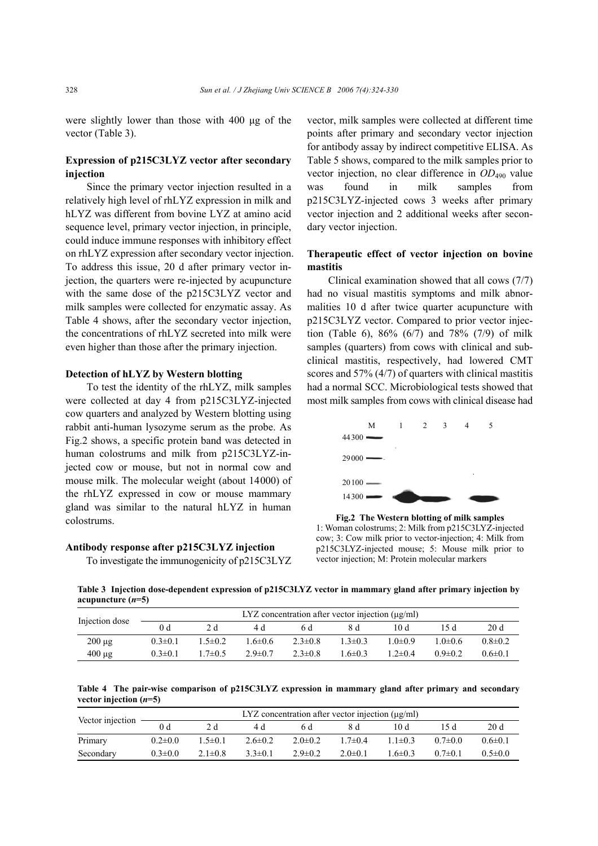were slightly lower than those with 400 µg of the vector (Table 3).

# **Expression of p215C3LYZ vector after secondary injection**

Since the primary vector injection resulted in a relatively high level of rhLYZ expression in milk and hLYZ was different from bovine LYZ at amino acid sequence level, primary vector injection, in principle, could induce immune responses with inhibitory effect on rhLYZ expression after secondary vector injection. To address this issue, 20 d after primary vector injection, the quarters were re-injected by acupuncture with the same dose of the p215C3LYZ vector and milk samples were collected for enzymatic assay. As Table 4 shows, after the secondary vector injection, the concentrations of rhLYZ secreted into milk were even higher than those after the primary injection.

#### **Detection of hLYZ by Western blotting**

To test the identity of the rhLYZ, milk samples were collected at day 4 from p215C3LYZ-injected cow quarters and analyzed by Western blotting using rabbit anti-human lysozyme serum as the probe. As Fig.2 shows, a specific protein band was detected in human colostrums and milk from p215C3LYZ-injected cow or mouse, but not in normal cow and mouse milk. The molecular weight (about 14000) of the rhLYZ expressed in cow or mouse mammary gland was similar to the natural hLYZ in human colostrums.

## **Antibody response after p215C3LYZ injection**

To investigate the immunogenicity of p215C3LYZ

vector, milk samples were collected at different time points after primary and secondary vector injection for antibody assay by indirect competitive ELISA. As Table 5 shows, compared to the milk samples prior to vector injection, no clear difference in *OD*<sub>490</sub> value was found in milk samples from p215C3LYZ-injected cows 3 weeks after primary vector injection and 2 additional weeks after secondary vector injection.

# **Therapeutic effect of vector injection on bovine mastitis**

Clinical examination showed that all cows (7/7) had no visual mastitis symptoms and milk abnormalities 10 d after twice quarter acupuncture with p215C3LYZ vector. Compared to prior vector injection (Table 6), 86% (6/7) and 78% (7/9) of milk samples (quarters) from cows with clinical and subclinical mastitis, respectively, had lowered CMT scores and 57% (4/7) of quarters with clinical mastitis had a normal SCC. Microbiological tests showed that most milk samples from cows with clinical disease had



**Fig.2 The Western blotting of milk samples**  1: Woman colostrums; 2: Milk from p215C3LYZ-injected cow; 3: Cow milk prior to vector-injection; 4: Milk from p215C3LYZ-injected mouse; 5: Mouse milk prior to vector injection; M: Protein molecular markers

**Table 3 Injection dose-dependent expression of p215C3LYZ vector in mammary gland after primary injection by acupuncture (***n***=5)** 

| Injection dose | $LYZ$ concentration after vector injection $(\mu g/ml)$ |               |               |               |               |               |               |               |  |  |
|----------------|---------------------------------------------------------|---------------|---------------|---------------|---------------|---------------|---------------|---------------|--|--|
|                | 0 <sub>d</sub>                                          | 2 d           | 4 d           | 6 d           | Χd            | 10 d          | 15 d          | 20 d          |  |  |
| $200 \mu$ g    | $0.3 \pm 0.1$                                           | $1.5 \pm 0.2$ | $1.6 \pm 0.6$ | $2.3 \pm 0.8$ | $1.3 \pm 0.3$ | $1.0 \pm 0.9$ | $1.0\pm 0.6$  | $0.8 \pm 0.2$ |  |  |
| $400 \mu$ g    | $0.3 \pm 0.1$                                           | $1.7 \pm 0.5$ | $2.9 \pm 0.7$ | $2.3 \pm 0.8$ | $1.6 \pm 0.3$ | $12+04$       | $0.9 \pm 0.2$ | $0.6 \pm 0.1$ |  |  |

**Table 4 The pair-wise comparison of p215C3LYZ expression in mammary gland after primary and secondary vector injection (***n***=5)** 

| Vector injection | LYZ concentration after vector injection $(\mu g/ml)$ |               |               |               |               |               |            |               |  |  |
|------------------|-------------------------------------------------------|---------------|---------------|---------------|---------------|---------------|------------|---------------|--|--|
|                  |                                                       |               | 4 d           | 6 d           | Χd            | 10 d          | 15 d.      | 20d           |  |  |
| Primary          | $0.2\pm 0.0$                                          | $1.5 \pm 0.1$ | $2.6 \pm 0.2$ | $2.0 \pm 0.2$ | $1.7 \pm 0.4$ | $1.1 \pm 0.3$ | $07\pm 00$ | $0.6 \pm 0.1$ |  |  |
| Secondary        | $0.3 \pm 0.0$                                         | $2.1 \pm 0.8$ | $3.3 \pm 0.1$ | $2.9 \pm 0.2$ | $2.0 \pm 0.1$ | $1.6 \pm 0.3$ | $07\pm 01$ | $0.5 \pm 0.0$ |  |  |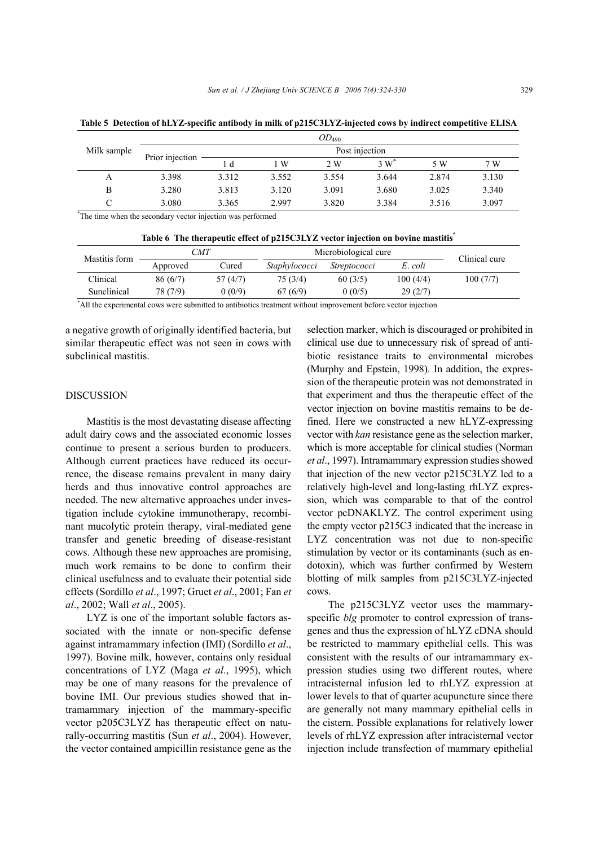|                    |                 |                |       | $OD_{490}$ |       |       |       |  |  |  |
|--------------------|-----------------|----------------|-------|------------|-------|-------|-------|--|--|--|
| Milk sample        | Prior injection | Post injection |       |            |       |       |       |  |  |  |
|                    |                 | l d            | ∣W    | 2 W        | 3 W   | 5 W   | 7 W   |  |  |  |
| A                  | 3.398           | 3.312          | 3.552 | 3.554      | 3.644 | 2.874 | 3.130 |  |  |  |
| В                  | 3.280           | 3.813          | 3.120 | 3.091      | 3.680 | 3.025 | 3.340 |  |  |  |
| $\curvearrowright$ | 3.080           | 3.365          | 2.997 | 3.820      | 3.384 | 3.516 | 3.097 |  |  |  |

**Table 5 Detection of hLYZ-specific antibody in milk of p215C3LYZ-injected cows by indirect competitive ELISA** 

\* The time when the secondary vector injection was performed

**Table 6 The therapeutic effect of p215C3LYZ vector injection on bovine mastitis\***

| Mastitis form | CMT      |          | Microbiological cure | Clinical cure       |          |           |
|---------------|----------|----------|----------------------|---------------------|----------|-----------|
|               | Approved | ∵ured    | <i>Staphylococci</i> | <i>Streptococci</i> | E. coli  |           |
| Clinical      | 86(6/7)  | 57 (4/7) | 75 (3/4)             | 60(3/5)             | 100(4/4) | 100 (7/7) |
| Sunclinical   | 78 (7/9) | 0(0/9)   | 67(6/9)              | 0(0/5)              | 29(2/7)  |           |

\* All the experimental cows were submitted to antibiotics treatment without improvement before vector injection

a negative growth of originally identified bacteria, but similar therapeutic effect was not seen in cows with subclinical mastitis.

# DISCUSSION

Mastitis is the most devastating disease affecting adult dairy cows and the associated economic losses continue to present a serious burden to producers. Although current practices have reduced its occurrence, the disease remains prevalent in many dairy herds and thus innovative control approaches are needed. The new alternative approaches under investigation include cytokine immunotherapy, recombinant mucolytic protein therapy, viral-mediated gene transfer and genetic breeding of disease-resistant cows. Although these new approaches are promising, much work remains to be done to confirm their clinical usefulness and to evaluate their potential side effects (Sordillo *et al*., 1997; Gruet *et al*., 2001; Fan *et al*., 2002; Wall *et al*., 2005).

LYZ is one of the important soluble factors associated with the innate or non-specific defense against intramammary infection (IMI) (Sordillo *et al*., 1997). Bovine milk, however, contains only residual concentrations of LYZ (Maga *et al*., 1995), which may be one of many reasons for the prevalence of bovine IMI. Our previous studies showed that intramammary injection of the mammary-specific vector p205C3LYZ has therapeutic effect on naturally-occurring mastitis (Sun *et al*., 2004). However, the vector contained ampicillin resistance gene as the

selection marker, which is discouraged or prohibited in clinical use due to unnecessary risk of spread of antibiotic resistance traits to environmental microbes (Murphy and Epstein, 1998). In addition, the expression of the therapeutic protein was not demonstrated in that experiment and thus the therapeutic effect of the vector injection on bovine mastitis remains to be defined. Here we constructed a new hLYZ-expressing vector with *kan* resistance gene as the selection marker, which is more acceptable for clinical studies (Norman *et al*., 1997). Intramammary expression studies showed that injection of the new vector p215C3LYZ led to a relatively high-level and long-lasting rhLYZ expression, which was comparable to that of the control vector pcDNAKLYZ. The control experiment using the empty vector p215C3 indicated that the increase in LYZ concentration was not due to non-specific stimulation by vector or its contaminants (such as endotoxin), which was further confirmed by Western blotting of milk samples from p215C3LYZ-injected cows.

The p215C3LYZ vector uses the mammaryspecific *blg* promoter to control expression of transgenes and thus the expression of hLYZ cDNA should be restricted to mammary epithelial cells. This was consistent with the results of our intramammary expression studies using two different routes, where intracisternal infusion led to rhLYZ expression at lower levels to that of quarter acupuncture since there are generally not many mammary epithelial cells in the cistern. Possible explanations for relatively lower levels of rhLYZ expression after intracisternal vector injection include transfection of mammary epithelial